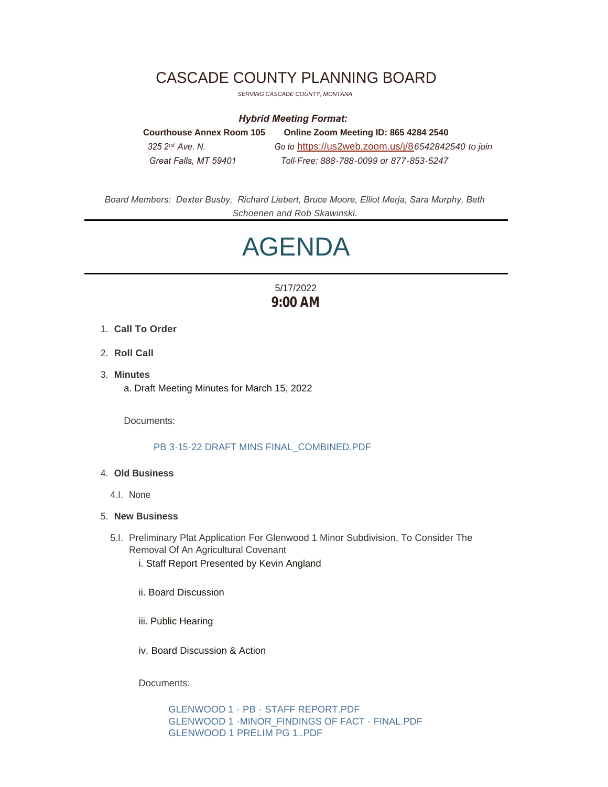## CASCADE COUNTY PLANNING BOARD

*SERVING CASCADE COUNTY, MONTANA*

#### *Hybrid Meeting Format:*

**Courthouse Annex Room 105 Online Zoom Meeting ID: 865 4284 2540**  *325 2 Ave. N. Go to* [https://us2web.zoom.us/j/8](https://us2web.zoom.us/j/82531960407)*6542842540 to join Great Falls, MT 59401 Toll-Free: 888-788-0099 or 877-853-5247* 325 2<sup>nd</sup> Ave. N.

*Board Members: Dexter Busby, Richard Liebert, Bruce Moore, Elliot Merja, Sara Murphy, Beth Schoenen and Rob Skawinski.*

# AGENDA

### 5/17/2022 **9:00 AM**

- **Call To Order** 1.
- 2. **Roll Call**
- **Minutes** 3. a. Draft Meeting Minutes for March 15, 2022

Documents:

#### [PB 3-15-22 DRAFT MINS FINAL\\_COMBINED.PDF](https://www.cascadecountymt.gov/AgendaCenter/ViewFile/Item/797?fileID=17125)

#### **Old Business** 4.

4.I. None

#### **New Business** 5.

- 5.I. Preliminary Plat Application For Glenwood 1 Minor Subdivision, To Consider The Removal Of An Agricultural Covenant
	- i. Staff Report Presented by Kevin Angland
	- ii. Board Discussion
	- iii. Public Hearing
	- iv. Board Discussion & Action

Documents:

[GLENWOOD 1 - PB - STAFF REPORT.PDF](https://www.cascadecountymt.gov/AgendaCenter/ViewFile/Item/798?fileID=17126) [GLENWOOD 1 -MINOR\\_FINDINGS OF FACT - FINAL.PDF](https://www.cascadecountymt.gov/AgendaCenter/ViewFile/Item/798?fileID=17128) [GLENWOOD 1 PRELIM PG 1..PDF](https://www.cascadecountymt.gov/AgendaCenter/ViewFile/Item/798?fileID=17132)